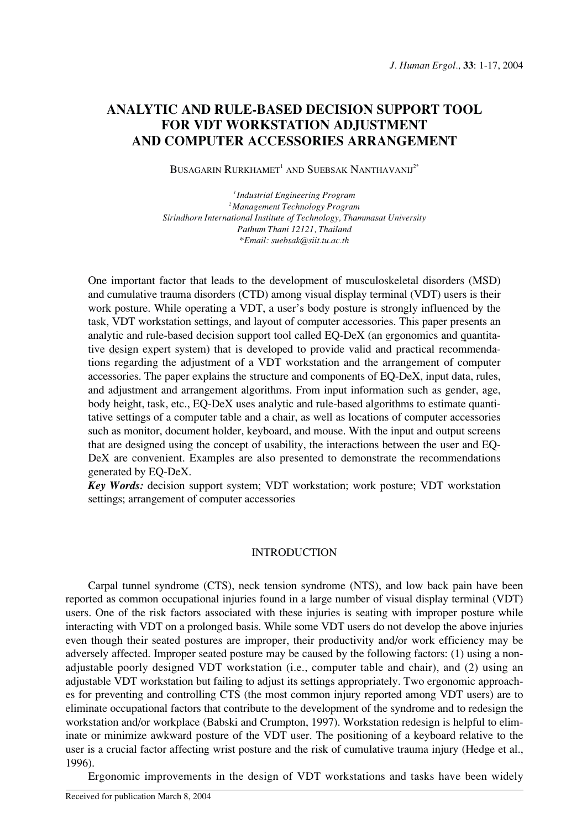# **ANALYTIC AND RULE-BASED DECISION SUPPORT TOOL FOR VDT WORKSTATION ADJUSTMENT AND COMPUTER ACCESSORIES ARRANGEMENT**

BUSAGARIN RURKHAMET<sup>1</sup> AND SUEBSAK NANTHAVANIJ<sup>2\*</sup>

*1 Industrial Engineering Program 2 Management Technology Program Sirindhorn International Institute of Technology, Thammasat University Pathum Thani 12121, Thailand \*Email: suebsak@siit.tu.ac.th*

One important factor that leads to the development of musculoskeletal disorders (MSD) and cumulative trauma disorders (CTD) among visual display terminal (VDT) users is their work posture. While operating a VDT, a user's body posture is strongly influenced by the task, VDT workstation settings, and layout of computer accessories. This paper presents an analytic and rule-based decision support tool called EQ-DeX (an ergonomics and quantitative design expert system) that is developed to provide valid and practical recommendations regarding the adjustment of a VDT workstation and the arrangement of computer accessories. The paper explains the structure and components of EQ-DeX, input data, rules, and adjustment and arrangement algorithms. From input information such as gender, age, body height, task, etc., EQ-DeX uses analytic and rule-based algorithms to estimate quantitative settings of a computer table and a chair, as well as locations of computer accessories such as monitor, document holder, keyboard, and mouse. With the input and output screens that are designed using the concept of usability, the interactions between the user and EQ-DeX are convenient. Examples are also presented to demonstrate the recommendations generated by EQ-DeX.

*Key Words:* decision support system; VDT workstation; work posture; VDT workstation settings; arrangement of computer accessories

#### INTRODUCTION

Carpal tunnel syndrome (CTS), neck tension syndrome (NTS), and low back pain have been reported as common occupational injuries found in a large number of visual display terminal (VDT) users. One of the risk factors associated with these injuries is seating with improper posture while interacting with VDT on a prolonged basis. While some VDT users do not develop the above injuries even though their seated postures are improper, their productivity and/or work efficiency may be adversely affected. Improper seated posture may be caused by the following factors: (1) using a nonadjustable poorly designed VDT workstation (i.e., computer table and chair), and (2) using an adjustable VDT workstation but failing to adjust its settings appropriately. Two ergonomic approaches for preventing and controlling CTS (the most common injury reported among VDT users) are to eliminate occupational factors that contribute to the development of the syndrome and to redesign the workstation and/or workplace (Babski and Crumpton, 1997). Workstation redesign is helpful to eliminate or minimize awkward posture of the VDT user. The positioning of a keyboard relative to the user is a crucial factor affecting wrist posture and the risk of cumulative trauma injury (Hedge et al., 1996).

Ergonomic improvements in the design of VDT workstations and tasks have been widely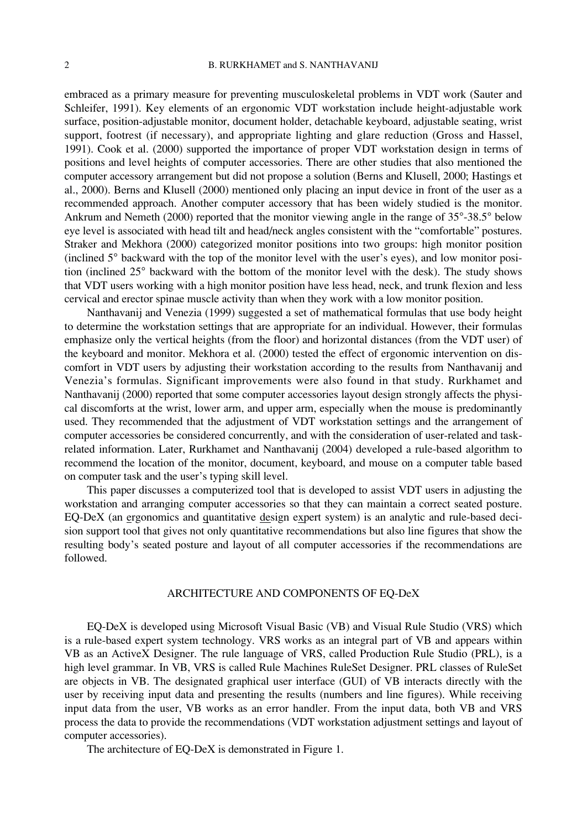embraced as a primary measure for preventing musculoskeletal problems in VDT work (Sauter and Schleifer, 1991). Key elements of an ergonomic VDT workstation include height-adjustable work surface, position-adjustable monitor, document holder, detachable keyboard, adjustable seating, wrist support, footrest (if necessary), and appropriate lighting and glare reduction (Gross and Hassel, 1991). Cook et al. (2000) supported the importance of proper VDT workstation design in terms of positions and level heights of computer accessories. There are other studies that also mentioned the computer accessory arrangement but did not propose a solution (Berns and Klusell, 2000; Hastings et al., 2000). Berns and Klusell (2000) mentioned only placing an input device in front of the user as a recommended approach. Another computer accessory that has been widely studied is the monitor. Ankrum and Nemeth (2000) reported that the monitor viewing angle in the range of 35°-38.5° below eye level is associated with head tilt and head/neck angles consistent with the "comfortable" postures. Straker and Mekhora (2000) categorized monitor positions into two groups: high monitor position (inclined 5° backward with the top of the monitor level with the user's eyes), and low monitor position (inclined 25° backward with the bottom of the monitor level with the desk). The study shows that VDT users working with a high monitor position have less head, neck, and trunk flexion and less cervical and erector spinae muscle activity than when they work with a low monitor position.

Nanthavanij and Venezia (1999) suggested a set of mathematical formulas that use body height to determine the workstation settings that are appropriate for an individual. However, their formulas emphasize only the vertical heights (from the floor) and horizontal distances (from the VDT user) of the keyboard and monitor. Mekhora et al. (2000) tested the effect of ergonomic intervention on discomfort in VDT users by adjusting their workstation according to the results from Nanthavanij and Venezia's formulas. Significant improvements were also found in that study. Rurkhamet and Nanthavanij (2000) reported that some computer accessories layout design strongly affects the physical discomforts at the wrist, lower arm, and upper arm, especially when the mouse is predominantly used. They recommended that the adjustment of VDT workstation settings and the arrangement of computer accessories be considered concurrently, and with the consideration of user-related and taskrelated information. Later, Rurkhamet and Nanthavanij (2004) developed a rule-based algorithm to recommend the location of the monitor, document, keyboard, and mouse on a computer table based on computer task and the user's typing skill level.

This paper discusses a computerized tool that is developed to assist VDT users in adjusting the workstation and arranging computer accessories so that they can maintain a correct seated posture. EQ-DeX (an ergonomics and quantitative design expert system) is an analytic and rule-based decision support tool that gives not only quantitative recommendations but also line figures that show the resulting body's seated posture and layout of all computer accessories if the recommendations are followed.

#### ARCHITECTURE AND COMPONENTS OF EQ-DeX

EQ-DeX is developed using Microsoft Visual Basic (VB) and Visual Rule Studio (VRS) which is a rule-based expert system technology. VRS works as an integral part of VB and appears within VB as an ActiveX Designer. The rule language of VRS, called Production Rule Studio (PRL), is a high level grammar. In VB, VRS is called Rule Machines RuleSet Designer. PRL classes of RuleSet are objects in VB. The designated graphical user interface (GUI) of VB interacts directly with the user by receiving input data and presenting the results (numbers and line figures). While receiving input data from the user, VB works as an error handler. From the input data, both VB and VRS process the data to provide the recommendations (VDT workstation adjustment settings and layout of computer accessories).

The architecture of EQ-DeX is demonstrated in Figure 1.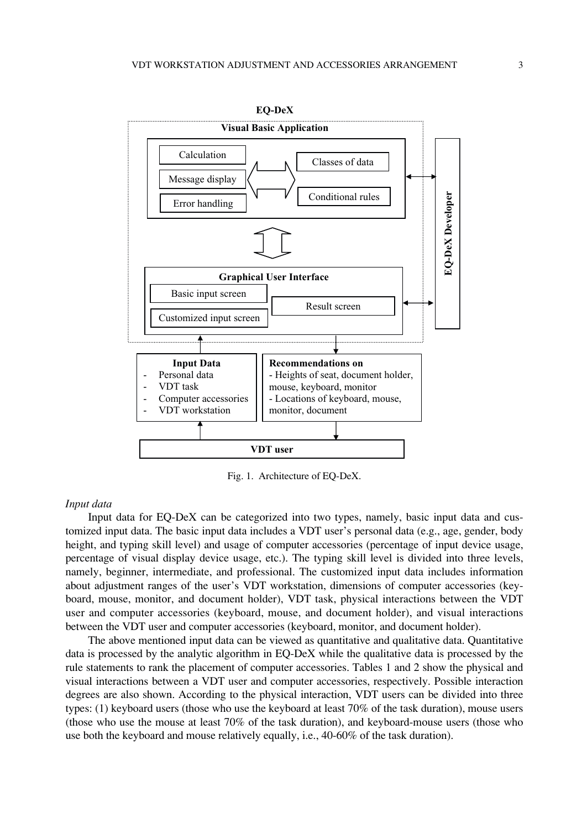

Fig. 1. Architecture of EQ-DeX.

## *Input data*

Input data for EQ-DeX can be categorized into two types, namely, basic input data and customized input data. The basic input data includes a VDT user's personal data (e.g., age, gender, body height, and typing skill level) and usage of computer accessories (percentage of input device usage, percentage of visual display device usage, etc.). The typing skill level is divided into three levels, namely, beginner, intermediate, and professional. The customized input data includes information about adjustment ranges of the user's VDT workstation, dimensions of computer accessories (keyboard, mouse, monitor, and document holder), VDT task, physical interactions between the VDT user and computer accessories (keyboard, mouse, and document holder), and visual interactions between the VDT user and computer accessories (keyboard, monitor, and document holder).

The above mentioned input data can be viewed as quantitative and qualitative data. Quantitative data is processed by the analytic algorithm in EQ-DeX while the qualitative data is processed by the rule statements to rank the placement of computer accessories. Tables 1 and 2 show the physical and visual interactions between a VDT user and computer accessories, respectively. Possible interaction degrees are also shown. According to the physical interaction, VDT users can be divided into three types: (1) keyboard users (those who use the keyboard at least 70% of the task duration), mouse users (those who use the mouse at least 70% of the task duration), and keyboard-mouse users (those who use both the keyboard and mouse relatively equally, i.e., 40-60% of the task duration).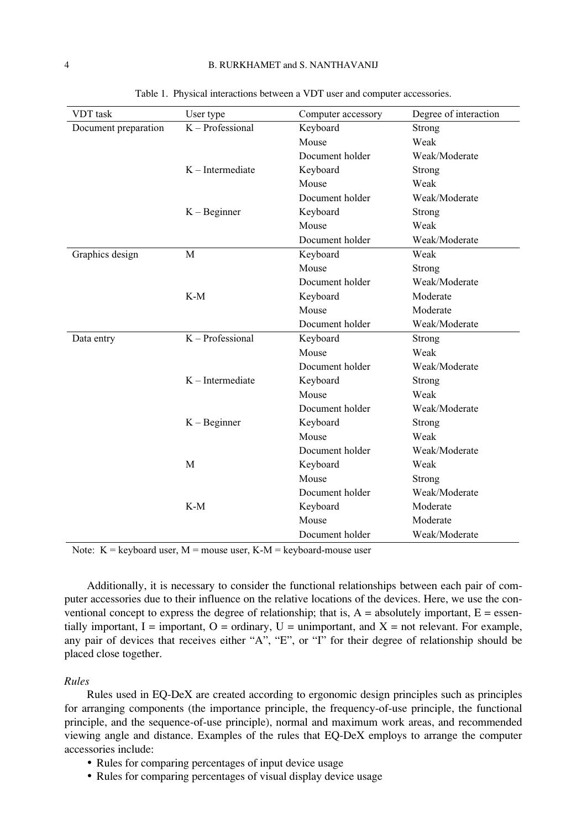| <b>VDT</b> task      | User type          | Computer accessory | Degree of interaction |
|----------------------|--------------------|--------------------|-----------------------|
| Document preparation | $K -$ Professional | Keyboard<br>Strong |                       |
|                      |                    | Mouse<br>Weak      |                       |
|                      |                    | Document holder    | Weak/Moderate         |
|                      | $K$ – Intermediate | Keyboard           | Strong                |
|                      |                    | Mouse              | Weak                  |
|                      |                    | Document holder    | Weak/Moderate         |
|                      | $K - B$ eginner    | Keyboard           | Strong                |
|                      |                    | Mouse              | Weak                  |
|                      |                    | Document holder    | Weak/Moderate         |
| Graphics design      | M                  | Keyboard           | Weak                  |
|                      |                    | Mouse              | Strong                |
|                      |                    | Document holder    | Weak/Moderate         |
|                      | $K-M$              | Keyboard           | Moderate              |
|                      |                    | Mouse              | Moderate              |
|                      |                    | Document holder    | Weak/Moderate         |
| Data entry           | K - Professional   | Keyboard           | Strong                |
|                      |                    | Mouse              | Weak                  |
|                      |                    | Document holder    | Weak/Moderate         |
|                      | $K$ – Intermediate | Keyboard           | Strong                |
|                      |                    | Mouse              | Weak                  |
|                      |                    | Document holder    | Weak/Moderate         |
|                      | $K - B$ eginner    | Keyboard           | Strong                |
|                      |                    | Mouse              | Weak                  |
|                      |                    | Document holder    | Weak/Moderate         |
|                      | M                  | Keyboard           | Weak                  |
|                      |                    | Mouse              | Strong                |
|                      |                    | Document holder    | Weak/Moderate         |
|                      | $K-M$              | Keyboard           | Moderate              |
|                      |                    | Mouse              | Moderate              |
|                      |                    | Document holder    | Weak/Moderate         |

Table 1. Physical interactions between a VDT user and computer accessories.

Note:  $K =$  keyboard user,  $M =$  mouse user,  $K-M =$  keyboard-mouse user

Additionally, it is necessary to consider the functional relationships between each pair of computer accessories due to their influence on the relative locations of the devices. Here, we use the conventional concept to express the degree of relationship; that is,  $A =$  absolutely important,  $E =$  essentially important,  $I =$  important,  $O =$  ordinary,  $U =$  unimportant, and  $X =$  not relevant. For example, any pair of devices that receives either "A", "E", or "I" for their degree of relationship should be placed close together.

## *Rules*

Rules used in EQ-DeX are created according to ergonomic design principles such as principles for arranging components (the importance principle, the frequency-of-use principle, the functional principle, and the sequence-of-use principle), normal and maximum work areas, and recommended viewing angle and distance. Examples of the rules that EQ-DeX employs to arrange the computer accessories include:

- Rules for comparing percentages of input device usage
- Rules for comparing percentages of visual display device usage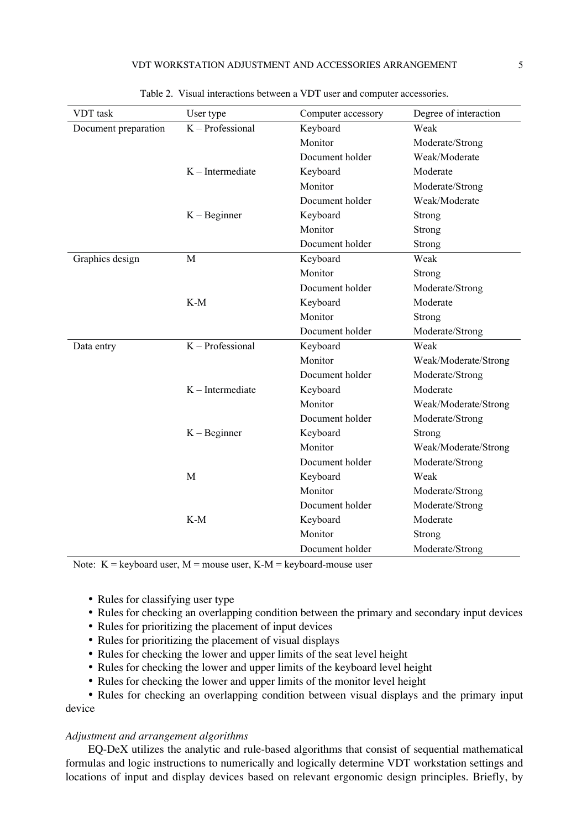| <b>VDT</b> task      | User type          | Computer accessory | Degree of interaction |
|----------------------|--------------------|--------------------|-----------------------|
| Document preparation | K - Professional   | Keyboard           | Weak                  |
|                      |                    | Monitor            | Moderate/Strong       |
|                      |                    | Document holder    | Weak/Moderate         |
|                      | $K$ – Intermediate | Keyboard           | Moderate              |
|                      |                    | Monitor            | Moderate/Strong       |
|                      |                    | Document holder    | Weak/Moderate         |
|                      | $K - B$ eginner    | Keyboard           | Strong                |
|                      |                    | Monitor            | Strong                |
|                      |                    | Document holder    | Strong                |
| Graphics design      | M                  | Keyboard           | Weak                  |
|                      |                    | Monitor            | Strong                |
|                      |                    | Document holder    | Moderate/Strong       |
|                      | $K-M$              | Keyboard           | Moderate              |
|                      |                    | Monitor            | Strong                |
|                      |                    | Document holder    | Moderate/Strong       |
| Data entry           | K - Professional   | Keyboard           | Weak                  |
|                      |                    | Monitor            | Weak/Moderate/Strong  |
|                      |                    | Document holder    | Moderate/Strong       |
|                      | $K$ – Intermediate | Keyboard           | Moderate              |
|                      |                    | Monitor            | Weak/Moderate/Strong  |
|                      |                    | Document holder    | Moderate/Strong       |
|                      | $K - B$ eginner    | Keyboard           | Strong                |
|                      |                    | Monitor            | Weak/Moderate/Strong  |
|                      |                    | Document holder    | Moderate/Strong       |
|                      | M                  | Keyboard           | Weak                  |
|                      |                    | Monitor            | Moderate/Strong       |
|                      |                    | Document holder    | Moderate/Strong       |
|                      | $K-M$              | Keyboard           | Moderate              |
|                      |                    | Monitor            | Strong                |
|                      |                    | Document holder    | Moderate/Strong       |

Table 2. Visual interactions between a VDT user and computer accessories.

Note:  $K =$  keyboard user,  $M =$  mouse user,  $K-M =$  keyboard-mouse user

- Rules for classifying user type
- Rules for checking an overlapping condition between the primary and secondary input devices
- Rules for prioritizing the placement of input devices
- Rules for prioritizing the placement of visual displays
- Rules for checking the lower and upper limits of the seat level height
- Rules for checking the lower and upper limits of the keyboard level height
- Rules for checking the lower and upper limits of the monitor level height

• Rules for checking an overlapping condition between visual displays and the primary input device

## *Adjustment and arrangement algorithms*

EQ-DeX utilizes the analytic and rule-based algorithms that consist of sequential mathematical formulas and logic instructions to numerically and logically determine VDT workstation settings and locations of input and display devices based on relevant ergonomic design principles. Briefly, by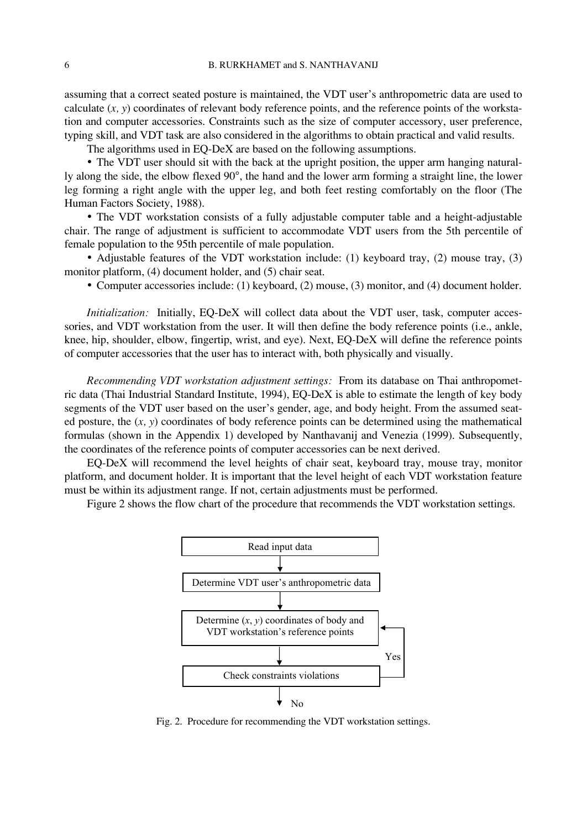assuming that a correct seated posture is maintained, the VDT user's anthropometric data are used to calculate (*x, y*) coordinates of relevant body reference points, and the reference points of the workstation and computer accessories. Constraints such as the size of computer accessory, user preference, typing skill, and VDT task are also considered in the algorithms to obtain practical and valid results.

The algorithms used in EQ-DeX are based on the following assumptions.

• The VDT user should sit with the back at the upright position, the upper arm hanging naturally along the side, the elbow flexed 90°, the hand and the lower arm forming a straight line, the lower leg forming a right angle with the upper leg, and both feet resting comfortably on the floor (The Human Factors Society, 1988).

• The VDT workstation consists of a fully adjustable computer table and a height-adjustable chair. The range of adjustment is sufficient to accommodate VDT users from the 5th percentile of female population to the 95th percentile of male population.

• Adjustable features of the VDT workstation include: (1) keyboard tray, (2) mouse tray, (3) monitor platform, (4) document holder, and (5) chair seat.

• Computer accessories include: (1) keyboard, (2) mouse, (3) monitor, and (4) document holder.

*Initialization:* Initially, EQ-DeX will collect data about the VDT user, task, computer accessories, and VDT workstation from the user. It will then define the body reference points (i.e., ankle, knee, hip, shoulder, elbow, fingertip, wrist, and eye). Next, EQ-DeX will define the reference points of computer accessories that the user has to interact with, both physically and visually.

*Recommending VDT workstation adjustment settings:* From its database on Thai anthropometric data (Thai Industrial Standard Institute, 1994), EQ-DeX is able to estimate the length of key body segments of the VDT user based on the user's gender, age, and body height. From the assumed seated posture, the (*x, y*) coordinates of body reference points can be determined using the mathematical formulas (shown in the Appendix 1) developed by Nanthavanij and Venezia (1999). Subsequently, the coordinates of the reference points of computer accessories can be next derived.

EQ-DeX will recommend the level heights of chair seat, keyboard tray, mouse tray, monitor platform, and document holder. It is important that the level height of each VDT workstation feature must be within its adjustment range. If not, certain adjustments must be performed.

Figure 2 shows the flow chart of the procedure that recommends the VDT workstation settings.



Fig. 2. Procedure for recommending the VDT workstation settings.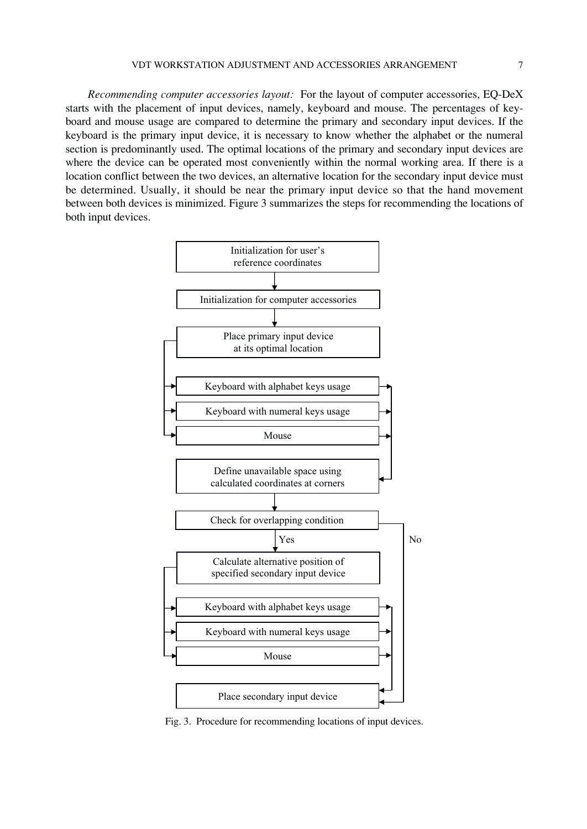*Recommending computer accessories layout:* For the layout of computer accessories, EQ-DeX starts with the placement of input devices, namely, keyboard and mouse. The percentages of keyboard and mouse usage are compared to determine the primary and secondary input devices. If the keyboard is the primary input device, it is necessary to know whether the alphabet or the numeral section is predominantly used. The optimal locations of the primary and secondary input devices are where the device can be operated most conveniently within the normal working area. If there is a location conflict between the two devices, an alternative location for the secondary input device must be determined. Usually, it should be near the primary input device so that the hand movement between both devices is minimized. Figure 3 summarizes the steps for recommending the locations of both input devices.



Fig. 3. Procedure for recommending locations of input devices.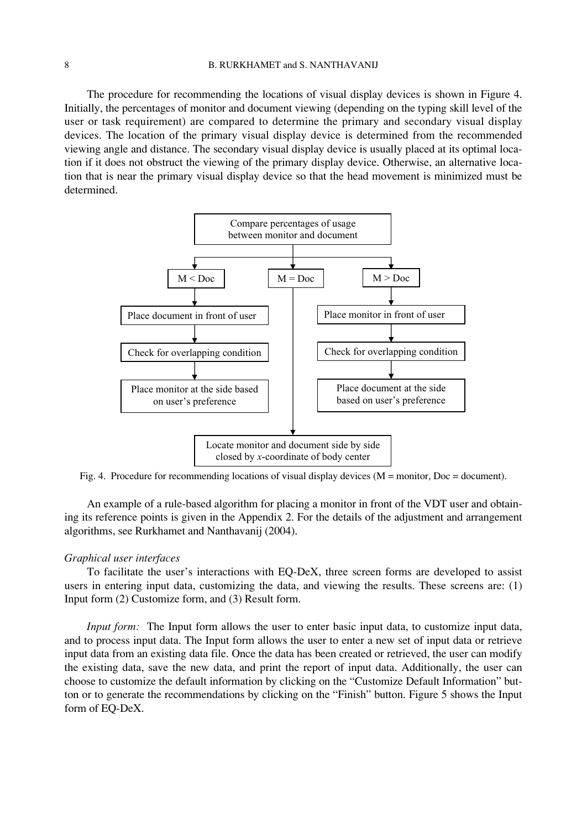The procedure for recommending the locations of visual display devices is shown in Figure 4. Initially, the percentages of monitor and document viewing (depending on the typing skill level of the user or task requirement) are compared to determine the primary and secondary visual display devices. The location of the primary visual display device is determined from the recommended viewing angle and distance. The secondary visual display device is usually placed at its optimal location if it does not obstruct the viewing of the primary display device. Otherwise, an alternative location that is near the primary visual display device so that the head movement is minimized must be determined.



Fig. 4. Procedure for recommending locations of visual display devices (M = monitor, Doc = document).

An example of a rule-based algorithm for placing a monitor in front of the VDT user and obtaining its reference points is given in the Appendix 2. For the details of the adjustment and arrangement algorithms, see Rurkhamet and Nanthavanij (2004).

## *Graphical user interfaces*

To facilitate the user's interactions with EQ-DeX, three screen forms are developed to assist users in entering input data, customizing the data, and viewing the results. These screens are: (1) Input form (2) Customize form, and (3) Result form.

*Input form:* The Input form allows the user to enter basic input data, to customize input data, and to process input data. The Input form allows the user to enter a new set of input data or retrieve input data from an existing data file. Once the data has been created or retrieved, the user can modify the existing data, save the new data, and print the report of input data. Additionally, the user can choose to customize the default information by clicking on the "Customize Default Information" button or to generate the recommendations by clicking on the "Finish" button. Figure 5 shows the Input form of EQ-DeX.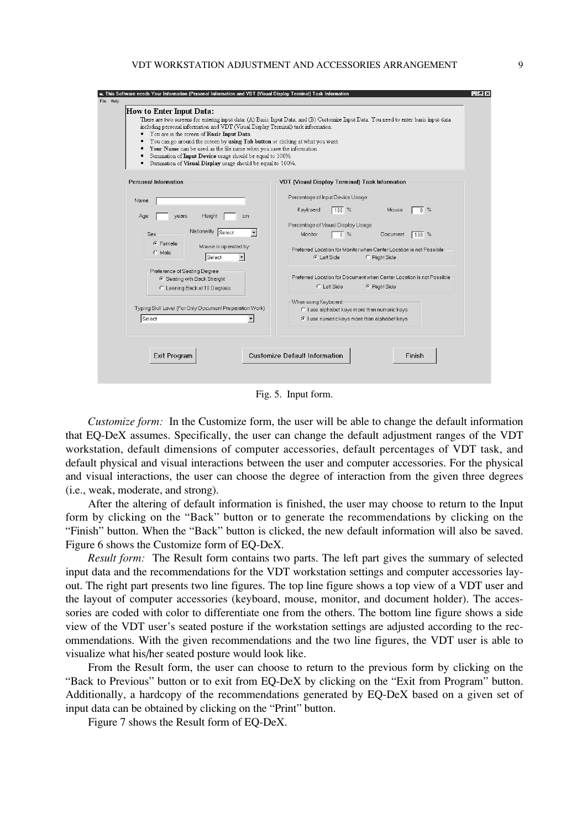#### VDT WORKSTATION ADJUSTMENT AND ACCESSORIES ARRANGEMENT 9

| There are two screens for entering input data: (A) Basic Input Data, and (B) Customize Input Data. You need to enter basic input data<br>including personal information and VDT (Visual Display Terminal) task information.<br>You can go around the screen by using Tab button or clicking at what you want.<br>Your Name can be used as the file name when you save the information.<br>Summation of Input Device usage should be equal to 100%.<br>Summation of Visual Display usage should be equal to 100%. |
|------------------------------------------------------------------------------------------------------------------------------------------------------------------------------------------------------------------------------------------------------------------------------------------------------------------------------------------------------------------------------------------------------------------------------------------------------------------------------------------------------------------|
| VDT (Visual Display Terminal) Task Information                                                                                                                                                                                                                                                                                                                                                                                                                                                                   |
| Percentage of Input Device Usage<br>Mouse<br>$\frac{100}{8}$ %<br>$0\%$<br>Keyboard<br>Percentage of Visual Display Usage<br>Monitor<br>$\overline{0}$ %<br>Document<br>$100\%$<br>Preferred Location for Monitor when Center Location is not Possible<br>G Left Side<br>C Right Side<br>Preferred Location for Document when Center Location is not Possible.                                                                                                                                                   |
| C Left Side<br>C Right Side<br>When using Keyboard<br>C I use alphabet keys more than numeric keys<br>C I use numeric keys more than alphabet keys                                                                                                                                                                                                                                                                                                                                                               |
| Finis Software needs Your Information (Personal Information and VDT (Visual Display Terminal) Task Information (                                                                                                                                                                                                                                                                                                                                                                                                 |

Fig. 5. Input form.

*Customize form:* In the Customize form, the user will be able to change the default information that EQ-DeX assumes. Specifically, the user can change the default adjustment ranges of the VDT workstation, default dimensions of computer accessories, default percentages of VDT task, and default physical and visual interactions between the user and computer accessories. For the physical and visual interactions, the user can choose the degree of interaction from the given three degrees (i.e., weak, moderate, and strong).

After the altering of default information is finished, the user may choose to return to the Input form by clicking on the "Back" button or to generate the recommendations by clicking on the "Finish" button. When the "Back" button is clicked, the new default information will also be saved. Figure 6 shows the Customize form of EQ-DeX.

*Result form:* The Result form contains two parts. The left part gives the summary of selected input data and the recommendations for the VDT workstation settings and computer accessories layout. The right part presents two line figures. The top line figure shows a top view of a VDT user and the layout of computer accessories (keyboard, mouse, monitor, and document holder). The accessories are coded with color to differentiate one from the others. The bottom line figure shows a side view of the VDT user's seated posture if the workstation settings are adjusted according to the recommendations. With the given recommendations and the two line figures, the VDT user is able to visualize what his/her seated posture would look like.

From the Result form, the user can choose to return to the previous form by clicking on the "Back to Previous" button or to exit from EQ-DeX by clicking on the "Exit from Program" button. Additionally, a hardcopy of the recommendations generated by EQ-DeX based on a given set of input data can be obtained by clicking on the "Print" button.

Figure 7 shows the Result form of EQ-DeX.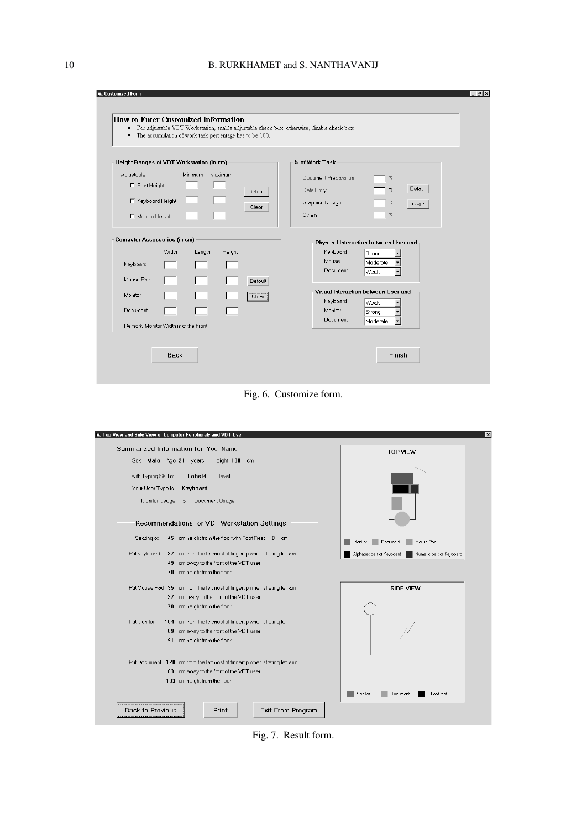| Height Ranges of VDT Workstation (in cm)                                                                                                                                      | % of Work Task                                                                                                                                                                                                            |
|-------------------------------------------------------------------------------------------------------------------------------------------------------------------------------|---------------------------------------------------------------------------------------------------------------------------------------------------------------------------------------------------------------------------|
| Adjustable<br>Minimum<br>Maximum<br>□ Seat Height<br><b>Default</b><br>□ Keyboard Height<br>Clear<br>□ Monitor Height                                                         | Document Preparation<br>$\%$<br>Default<br>$\!\%$<br>Data Entry<br>$\%$<br>Graphics Design<br>Clear<br>$\%$<br>Others                                                                                                     |
| <b>Computer Accessories (in cm)</b><br>Width<br>Length<br>Height<br>Keyboard<br>Mouse Pad<br>Default<br>Monitor<br>Clear<br>Document<br>Remark: Monitor Width is at the Front | Physical Interaction between User and<br>Keyboard<br>Strong<br>Mouse<br>Moderate<br>Document<br> Weak<br>۰<br>Visual Interaction between User and<br>Keyboard<br>Weak<br>Monitor<br>Strong<br><b>Document</b><br>Moderate |

Fig. 6. Customize form.



Fig. 7. Result form.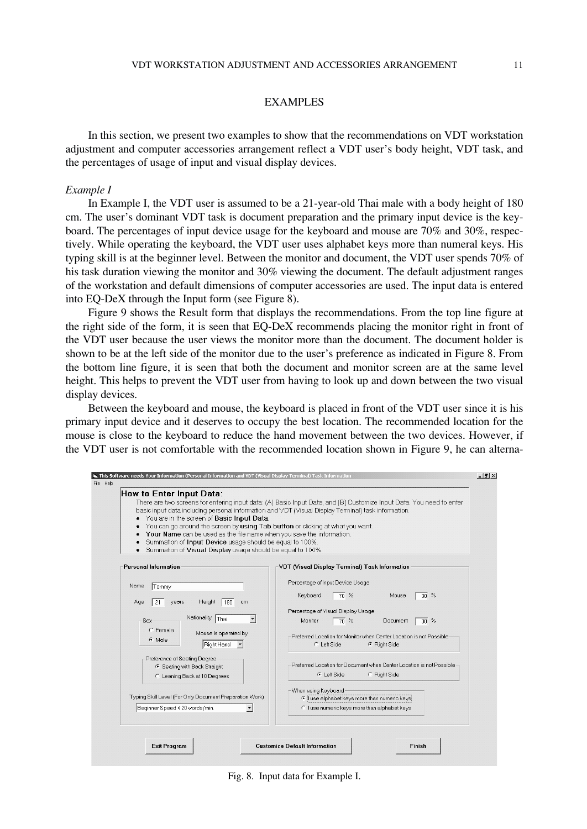#### EXAMPLES

In this section, we present two examples to show that the recommendations on VDT workstation adjustment and computer accessories arrangement reflect a VDT user's body height, VDT task, and the percentages of usage of input and visual display devices.

#### *Example I*

In Example I, the VDT user is assumed to be a 21-year-old Thai male with a body height of 180 cm. The user's dominant VDT task is document preparation and the primary input device is the keyboard. The percentages of input device usage for the keyboard and mouse are 70% and 30%, respectively. While operating the keyboard, the VDT user uses alphabet keys more than numeral keys. His typing skill is at the beginner level. Between the monitor and document, the VDT user spends 70% of his task duration viewing the monitor and 30% viewing the document. The default adjustment ranges of the workstation and default dimensions of computer accessories are used. The input data is entered into EQ-DeX through the Input form (see Figure 8).

Figure 9 shows the Result form that displays the recommendations. From the top line figure at the right side of the form, it is seen that EQ-DeX recommends placing the monitor right in front of the VDT user because the user views the monitor more than the document. The document holder is shown to be at the left side of the monitor due to the user's preference as indicated in Figure 8. From the bottom line figure, it is seen that both the document and monitor screen are at the same level height. This helps to prevent the VDT user from having to look up and down between the two visual display devices.

Between the keyboard and mouse, the keyboard is placed in front of the VDT user since it is his primary input device and it deserves to occupy the best location. The recommended location for the mouse is close to the keyboard to reduce the hand movement between the two devices. However, if the VDT user is not comfortable with the recommended location shown in Figure 9, he can alterna-

| basic input data including personal information and VDT (Visual Display Terminal) task information.<br>• You are in the screen of Basic Input Data.<br>You can go around the screen by using Tab button or clicking at what you want.<br>Your Name can be used as the file name when you save the information.<br>Summation of Input Device usage should be equal to 100%.<br>Summation of Visual Display usage should be equal to 100%. | There are two screens for entering input data: (A) Basic Input Data, and (B) Customize Input Data. You need to enter                                                                                                                                                                                                                                                               |
|------------------------------------------------------------------------------------------------------------------------------------------------------------------------------------------------------------------------------------------------------------------------------------------------------------------------------------------------------------------------------------------------------------------------------------------|------------------------------------------------------------------------------------------------------------------------------------------------------------------------------------------------------------------------------------------------------------------------------------------------------------------------------------------------------------------------------------|
| <b>Personal Information</b>                                                                                                                                                                                                                                                                                                                                                                                                              | <b>VDT (Visual Display Terminal) Task Information</b>                                                                                                                                                                                                                                                                                                                              |
| Name<br>Tommy<br>Height 180<br>21<br>years<br>Age<br>cm<br>Nationality Thai<br>Sex<br>C Female<br>Mouse is operated by<br>G Male<br>Right Hand<br>Preference of Seating Degree<br>6 Seating with Back Straight<br>C Leaning Back at 10 Degrees                                                                                                                                                                                           | Percentage of Input Device Usage<br>Mouse<br>Keyboard<br>$70^{\circ}$<br>30%<br>Percentage of Visual Display Usage<br>$70\%$<br>Monitor<br>Document<br>$30\%$<br>Preferred Location for Monitor when Center Location is not Possible<br>C Left Side<br>← Right Side<br>Preferred Location for Document when Center Location is not Possible-<br><b>C</b> Left Side<br>C Right Side |
| Typing Skill Level (For Only Document Preparation Work)<br>Beginner Speed < 20 words/min.                                                                                                                                                                                                                                                                                                                                                | When using Keyboard<br>I use alphabet keys more than numeric keys<br>C I use numeric keys more than alphabet keys                                                                                                                                                                                                                                                                  |

Fig. 8. Input data for Example I.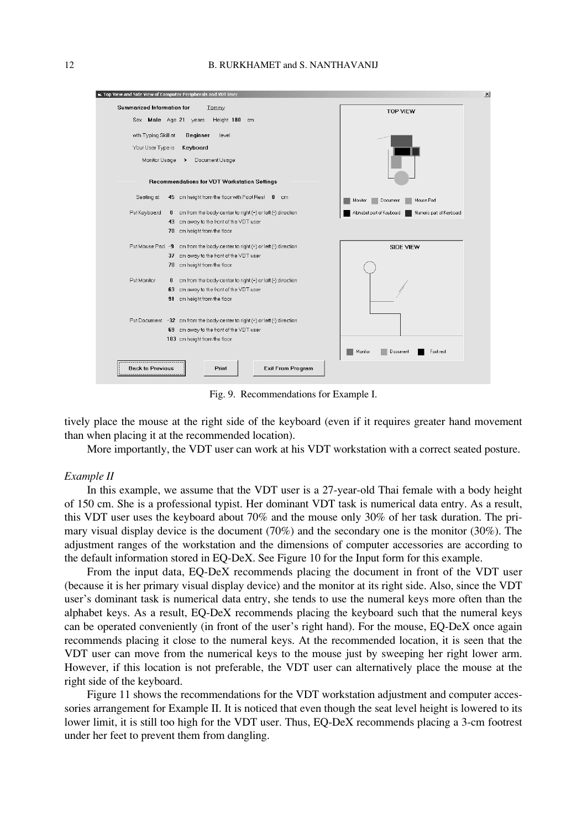

Fig. 9. Recommendations for Example I.

tively place the mouse at the right side of the keyboard (even if it requires greater hand movement than when placing it at the recommended location).

More importantly, the VDT user can work at his VDT workstation with a correct seated posture.

#### *Example II*

In this example, we assume that the VDT user is a 27-year-old Thai female with a body height of 150 cm. She is a professional typist. Her dominant VDT task is numerical data entry. As a result, this VDT user uses the keyboard about 70% and the mouse only 30% of her task duration. The primary visual display device is the document (70%) and the secondary one is the monitor (30%). The adjustment ranges of the workstation and the dimensions of computer accessories are according to the default information stored in EQ-DeX. See Figure 10 for the Input form for this example.

From the input data, EQ-DeX recommends placing the document in front of the VDT user (because it is her primary visual display device) and the monitor at its right side. Also, since the VDT user's dominant task is numerical data entry, she tends to use the numeral keys more often than the alphabet keys. As a result, EQ-DeX recommends placing the keyboard such that the numeral keys can be operated conveniently (in front of the user's right hand). For the mouse, EQ-DeX once again recommends placing it close to the numeral keys. At the recommended location, it is seen that the VDT user can move from the numerical keys to the mouse just by sweeping her right lower arm. However, if this location is not preferable, the VDT user can alternatively place the mouse at the right side of the keyboard.

Figure 11 shows the recommendations for the VDT workstation adjustment and computer accessories arrangement for Example II. It is noticed that even though the seat level height is lowered to its lower limit, it is still too high for the VDT user. Thus, EQ-DeX recommends placing a 3-cm footrest under her feet to prevent them from dangling.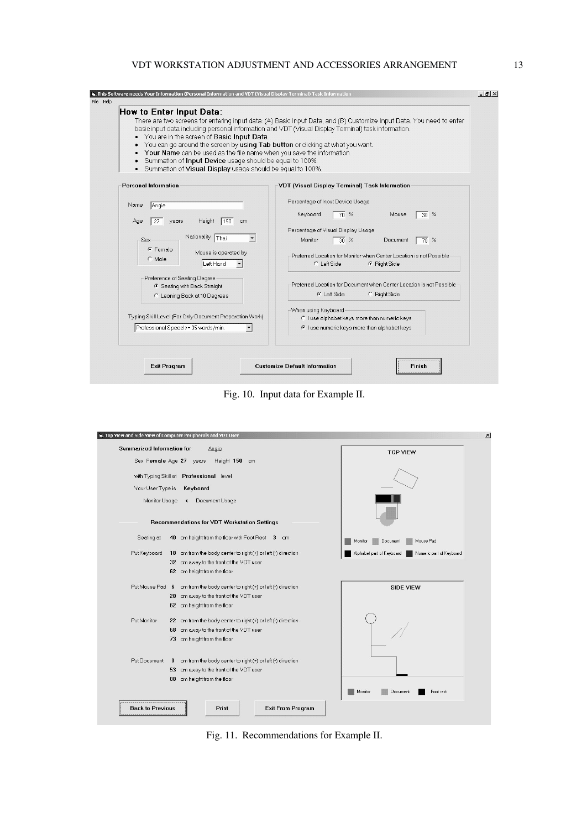## VDT WORKSTATION ADJUSTMENT AND ACCESSORIES ARRANGEMENT 13

| You are in the screen of Basic Input Data.<br>You can go around the screen by using Tab button or clicking at what you want.<br>Your Name can be used as the file name when you save the information.<br>Summation of Input Device usage should be equal to 100%.<br>Summation of Visual Display usage should be equal to 100%. | There are two screens for entering input data: (A) Basic Input Data, and (B) Customize Input Data. You need to enter<br>basic input data including personal information and VDT (Visual Display Terminal) task information.                                                                                                                                              |
|---------------------------------------------------------------------------------------------------------------------------------------------------------------------------------------------------------------------------------------------------------------------------------------------------------------------------------|--------------------------------------------------------------------------------------------------------------------------------------------------------------------------------------------------------------------------------------------------------------------------------------------------------------------------------------------------------------------------|
| <b>Personal Information</b>                                                                                                                                                                                                                                                                                                     | VDT (Visual Display Terminal) Task Information                                                                                                                                                                                                                                                                                                                           |
| Name<br>Angie<br>Height<br>150<br>Age<br>years<br>cm<br>27<br>Nationality Thai<br>Sex<br>G Female<br>Mouse is operated by<br>C Male<br>Left Hand<br>Preference of Seating Degree<br>6 Seating with Back Straight<br>C Leaning Back at 10 Degrees                                                                                | Percentage of Input Device Usage<br>70%<br>Keyboard<br>Mouse<br>$30\%$<br>Percentage of Visual Display Usage<br>Monitor<br>$30\%$<br>Document<br>70%<br>Preferred Location for Monitor when Center Location is not Possible<br>C Left Side<br><b>6</b> Right Side<br>Preferred Location for Document when Center Location is not Possible<br>G Left Side<br>C Right Side |
| Typing Skill Level (For Only Document Preparation Work)<br>Professional Speed >= 35 words/min.                                                                                                                                                                                                                                  | -When using Keyboard<br>C I use alphabet keys more than numeric keys<br>Thuse numeric keys more than alphabet keys                                                                                                                                                                                                                                                       |

Fig. 10. Input data for Example II.

| <b>Summarized Information for</b> | Angie                                                                        | <b>TOP VIEW</b>                                       |
|-----------------------------------|------------------------------------------------------------------------------|-------------------------------------------------------|
|                                   | Sex Female Age 27 years<br>Height 150 cm                                     |                                                       |
|                                   | with Typing Skill at Professional level                                      |                                                       |
| Your User Type is                 | Keyboard                                                                     |                                                       |
| Monitor Usage <                   | Document Usage                                                               |                                                       |
|                                   | <b>Recommendations for VDT Workstation Settings</b>                          |                                                       |
| Seating at                        | 40 cm height from the floor with Foot Rest 3 cm                              | Mouse Pad<br>Monitor<br>Document                      |
| Put Keyboard                      | 18 cm from the body center to right (+) or left (-) direction                | Numeric part of Keyboard<br>Alphabet part of Keyboard |
|                                   | 32 cm away to the front of the VDT user                                      |                                                       |
|                                   | 62 cm height from the floor                                                  |                                                       |
|                                   | Put Mouse Pad $6$ cm from the body center to right (+) or left (-) direction | SIDE VIEW                                             |
|                                   | 20 cm away to the front of the VDT user                                      |                                                       |
|                                   | 62 cm height from the floor                                                  |                                                       |
| Put Monitor                       | 22 cm from the body center to right (+) or left (-) direction                |                                                       |
|                                   | 68 cm away to the front of the VDT user                                      |                                                       |
|                                   | 73 cm height from the floor                                                  |                                                       |
| Put Document                      | cm from the body center to right (+) or left (-) direction<br>$\bf{0}$       |                                                       |
|                                   | cm away to the front of the VDT user<br>53                                   |                                                       |
|                                   | cm height from the floor<br>88                                               |                                                       |
|                                   |                                                                              | Foot rest<br>Monitor<br>Document                      |
|                                   |                                                                              |                                                       |

Fig. 11. Recommendations for Example II.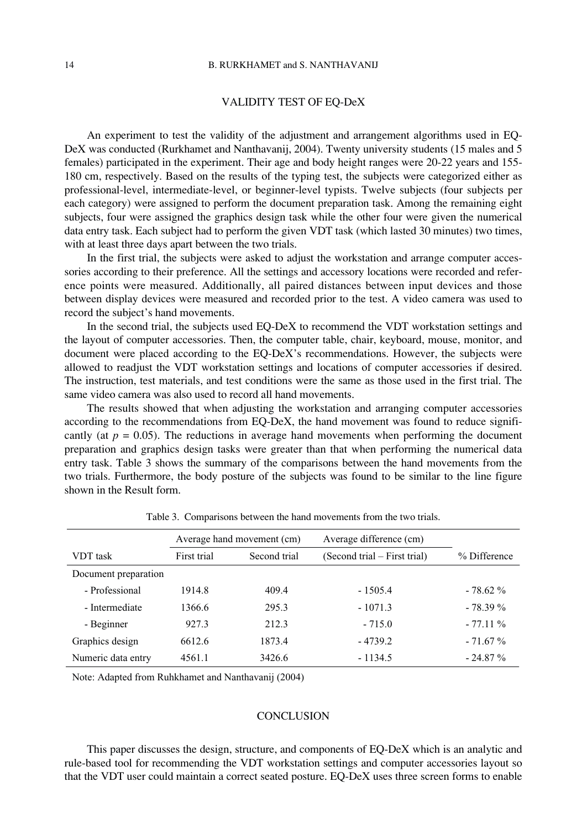## VALIDITY TEST OF EQ-DeX

An experiment to test the validity of the adjustment and arrangement algorithms used in EQ-DeX was conducted (Rurkhamet and Nanthavanij, 2004). Twenty university students (15 males and 5 females) participated in the experiment. Their age and body height ranges were 20-22 years and 155- 180 cm, respectively. Based on the results of the typing test, the subjects were categorized either as professional-level, intermediate-level, or beginner-level typists. Twelve subjects (four subjects per each category) were assigned to perform the document preparation task. Among the remaining eight subjects, four were assigned the graphics design task while the other four were given the numerical data entry task. Each subject had to perform the given VDT task (which lasted 30 minutes) two times, with at least three days apart between the two trials.

In the first trial, the subjects were asked to adjust the workstation and arrange computer accessories according to their preference. All the settings and accessory locations were recorded and reference points were measured. Additionally, all paired distances between input devices and those between display devices were measured and recorded prior to the test. A video camera was used to record the subject's hand movements.

In the second trial, the subjects used EQ-DeX to recommend the VDT workstation settings and the layout of computer accessories. Then, the computer table, chair, keyboard, mouse, monitor, and document were placed according to the EQ-DeX's recommendations. However, the subjects were allowed to readjust the VDT workstation settings and locations of computer accessories if desired. The instruction, test materials, and test conditions were the same as those used in the first trial. The same video camera was also used to record all hand movements.

The results showed that when adjusting the workstation and arranging computer accessories according to the recommendations from EQ-DeX, the hand movement was found to reduce significantly (at  $p = 0.05$ ). The reductions in average hand movements when performing the document preparation and graphics design tasks were greater than that when performing the numerical data entry task. Table 3 shows the summary of the comparisons between the hand movements from the two trials. Furthermore, the body posture of the subjects was found to be similar to the line figure shown in the Result form.

|                      | Average hand movement (cm) |              | Average difference (cm)      |              |
|----------------------|----------------------------|--------------|------------------------------|--------------|
| VDT task             | First trial                | Second trial | (Second trial – First trial) | % Difference |
| Document preparation |                            |              |                              |              |
| - Professional       | 1914.8                     | 409.4        | $-1505.4$                    | $-78.62\%$   |
| - Intermediate       | 1366.6                     | 295.3        | $-1071.3$                    | $-78.39\%$   |
| - Beginner           | 927.3                      | 212.3        | $-715.0$                     | $-77.11\%$   |
| Graphics design      | 6612.6                     | 1873.4       | $-4739.2$                    | $-71.67%$    |
| Numeric data entry   | 4561.1                     | 3426.6       | $-1134.5$                    | $-24.87\%$   |

Table 3. Comparisons between the hand movements from the two trials.

Note: Adapted from Ruhkhamet and Nanthavanij (2004)

#### **CONCLUSION**

This paper discusses the design, structure, and components of EQ-DeX which is an analytic and rule-based tool for recommending the VDT workstation settings and computer accessories layout so that the VDT user could maintain a correct seated posture. EQ-DeX uses three screen forms to enable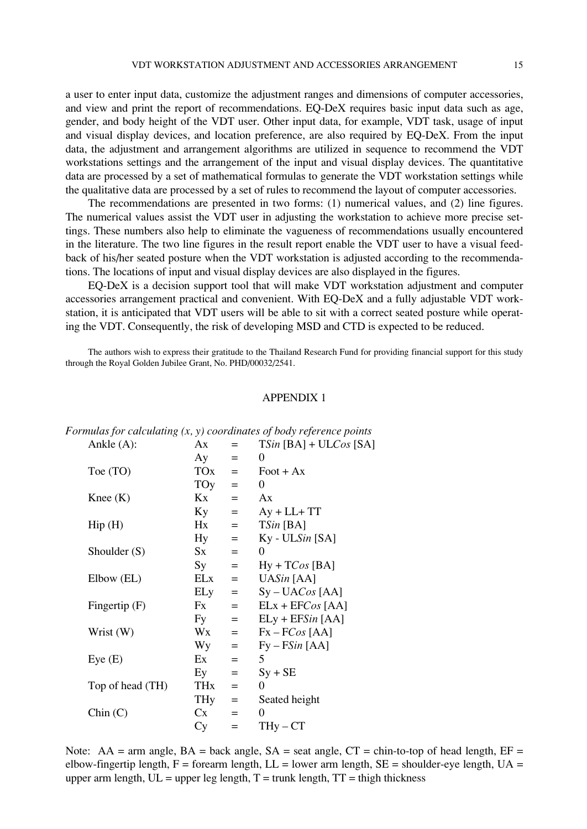a user to enter input data, customize the adjustment ranges and dimensions of computer accessories, and view and print the report of recommendations. EQ-DeX requires basic input data such as age, gender, and body height of the VDT user. Other input data, for example, VDT task, usage of input and visual display devices, and location preference, are also required by EQ-DeX. From the input data, the adjustment and arrangement algorithms are utilized in sequence to recommend the VDT workstations settings and the arrangement of the input and visual display devices. The quantitative data are processed by a set of mathematical formulas to generate the VDT workstation settings while the qualitative data are processed by a set of rules to recommend the layout of computer accessories.

The recommendations are presented in two forms: (1) numerical values, and (2) line figures. The numerical values assist the VDT user in adjusting the workstation to achieve more precise settings. These numbers also help to eliminate the vagueness of recommendations usually encountered in the literature. The two line figures in the result report enable the VDT user to have a visual feedback of his/her seated posture when the VDT workstation is adjusted according to the recommendations. The locations of input and visual display devices are also displayed in the figures.

EQ-DeX is a decision support tool that will make VDT workstation adjustment and computer accessories arrangement practical and convenient. With EQ-DeX and a fully adjustable VDT workstation, it is anticipated that VDT users will be able to sit with a correct seated posture while operating the VDT. Consequently, the risk of developing MSD and CTD is expected to be reduced.

The authors wish to express their gratitude to the Thailand Research Fund for providing financial support for this study through the Royal Golden Jubilee Grant, No. PHD/00032/2541.

#### APPENDIX 1

| Ankle $(A)$ :              | Ax      | $=$ | $TSin [BA] + ULCos [SA]$  |
|----------------------------|---------|-----|---------------------------|
|                            | Aу      | $=$ | $\theta$                  |
| Toe (TO)                   | TOx     | $=$ | $\text{foot} + \text{Ax}$ |
|                            | TOy     | $=$ | $\theta$                  |
| Knee $(K)$                 | Kx      | $=$ | Ax                        |
|                            | Кy      | $=$ | $Ay + LL + TT$            |
| $\text{Hip}\left(H\right)$ | Hx      | $=$ | $TSin$ [BA]               |
|                            | Hy      | $=$ | $Ky$ - ULSin [SA]         |
| Shoulder (S)               | $S_{X}$ | $=$ | $\overline{0}$            |
|                            | Sy      | $=$ | $Hy + TCos [BA]$          |
| Elbow (EL)                 | ELx     | $=$ | UASin [AA]                |
|                            | ELy     | $=$ | $Sy-UACos[AA]$            |
| Fingertip $(F)$            | Fx      | $=$ | $ELx + EFCos [AA]$        |
|                            | Fy      | $=$ | $ELy + EFSin [AA]$        |
| Wrist (W)                  | Wx      | $=$ | $Fx - FCos [AA]$          |
|                            | Wy      | $=$ | $Fy - FSin [AA]$          |
| Eye(E)                     | Ex      | $=$ | 5                         |
|                            | Ey      | $=$ | $Sy + SE$                 |
| Top of head (TH)           | THx     | $=$ | $\theta$                  |
|                            | THy     | $=$ | Seated height             |
| Chin(C)                    | Cx      | $=$ | 0                         |
|                            | Сy      | $=$ | $THy - CT$                |
|                            |         |     |                           |

*Formulas for calculating (x, y) coordinates of body reference points*

Note: AA = arm angle, BA = back angle, SA = seat angle,  $CT = \text{chin-to-top of head length}$ ,  $EF =$ elbow-fingertip length,  $F =$  forearm length,  $LL =$  lower arm length,  $SE =$  shoulder-eye length,  $UA =$ upper arm length,  $UL =$ upper leg length,  $T =$ trunk length,  $TT =$ thigh thickness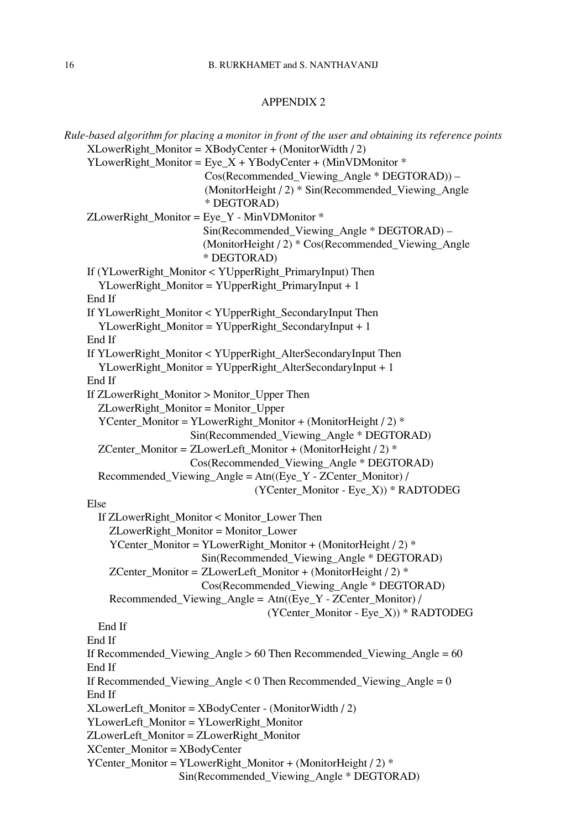## APPENDIX 2

| Rule-based algorithm for placing a monitor in front of the user and obtaining its reference points |
|----------------------------------------------------------------------------------------------------|
| $XLowerRight_Monitor = XBodyCenter + (MonitorWidth / 2)$                                           |
| YLowerRight_Monitor = $Eye_X + YBodyCenter + (MinVDMonitor *$                                      |
| Cos(Recommended_Viewing_Angle * DEGTORAD)) -                                                       |
| (MonitorHeight / 2) * Sin(Recommended_Viewing_Angle                                                |
| * DEGTORAD)                                                                                        |
| ZLowerRight_Monitor = Eye_Y - MinVDMonitor *                                                       |
| Sin(Recommended_Viewing_Angle * DEGTORAD) -                                                        |
| (MonitorHeight / 2) * Cos(Recommended_Viewing_Angle                                                |
| * DEGTORAD)                                                                                        |
| If (YLowerRight_Monitor < YUpperRight_PrimaryInput) Then                                           |
| YLowerRight_Monitor = YUpperRight_PrimaryInput + 1                                                 |
| End If                                                                                             |
| If YLowerRight_Monitor < YUpperRight_SecondaryInput Then                                           |
| YLowerRight_Monitor = YUpperRight_SecondaryInput + 1                                               |
| End If                                                                                             |
| If YLowerRight_Monitor < YUpperRight_AlterSecondaryInput Then                                      |
| YLowerRight_Monitor = YUpperRight_AlterSecondaryInput + 1                                          |
| End If                                                                                             |
| If ZLowerRight_Monitor > Monitor_Upper Then                                                        |
| ZLowerRight_Monitor = Monitor_Upper                                                                |
| YCenter_Monitor = YLowerRight_Monitor + (MonitorHeight / 2) *                                      |
| Sin(Recommended_Viewing_Angle * DEGTORAD)                                                          |
| ZCenter_Monitor = ZLowerLeft_Monitor + (MonitorHeight / 2) *                                       |
| Cos(Recommended_Viewing_Angle * DEGTORAD)                                                          |
| $Recommended_Viewing\_Angle = Atn((Eye_Y - ZCenter_Monitor) /$                                     |
| (YCenter_Monitor - Eye_X)) * RADTODEG                                                              |
| Else                                                                                               |
| If ZLowerRight_Monitor < Monitor_Lower Then                                                        |
| ZLowerRight_Monitor = Monitor_Lower                                                                |
| YCenter_Monitor = YLowerRight_Monitor + (MonitorHeight / 2) *                                      |
| Sin(Recommended_Viewing_Angle * DEGTORAD)                                                          |
| ZCenter_Monitor = ZLowerLeft_Monitor + (MonitorHeight / 2) *                                       |
| Cos(Recommended_Viewing_Angle * DEGTORAD)                                                          |
| Recommended_Viewing_Angle = Atn((Eye_Y - ZCenter_Monitor) /                                        |
| (YCenter_Monitor - Eye_X)) * RADTODEG                                                              |
| End If<br>End If                                                                                   |
| If Recommended_Viewing_Angle $> 60$ Then Recommended_Viewing_Angle = $60$                          |
| End If                                                                                             |
| If Recommended_Viewing_Angle < $0$ Then Recommended_Viewing_Angle = $0$                            |
| End If                                                                                             |
| XLowerLeft_Monitor = XBodyCenter - (MonitorWidth / 2)                                              |
| YLowerLeft_Monitor = YLowerRight_Monitor                                                           |
| ZLowerLeft_Monitor = ZLowerRight_Monitor                                                           |
| $XCenter_Monitor = XBodyCenter$                                                                    |
| YCenter_Monitor = YLowerRight_Monitor + (MonitorHeight / 2) *                                      |
| Sin(Recommended_Viewing_Angle * DEGTORAD)                                                          |
|                                                                                                    |